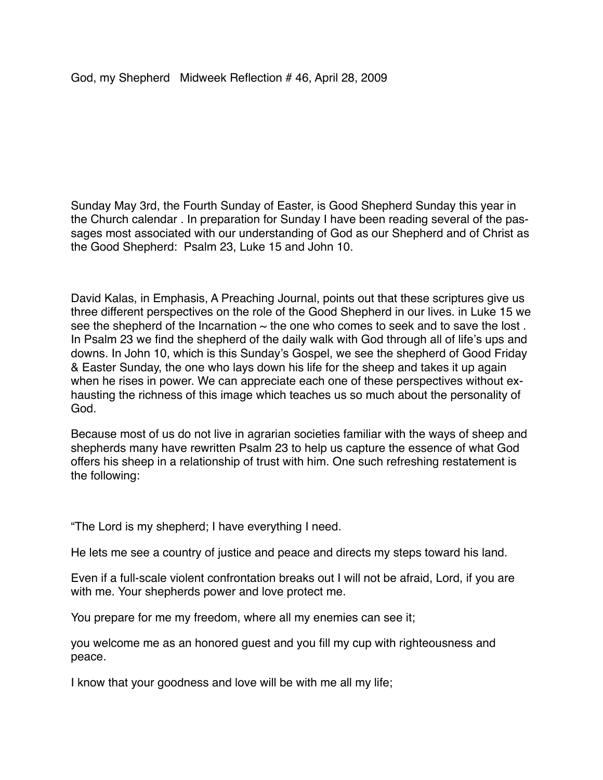Sunday May 3rd, the Fourth Sunday of Easter, is Good Shepherd Sunday this year in the Church calendar . In preparation for Sunday I have been reading several of the passages most associated with our understanding of God as our Shepherd and of Christ as the Good Shepherd: Psalm 23, Luke 15 and John 10.

David Kalas, in Emphasis, A Preaching Journal, points out that these scriptures give us three different perspectives on the role of the Good Shepherd in our lives. in Luke 15 we see the shepherd of the Incarnation  $\sim$  the one who comes to seek and to save the lost. In Psalm 23 we find the shepherd of the daily walk with God through all of life's ups and downs. In John 10, which is this Sunday's Gospel, we see the shepherd of Good Friday & Easter Sunday, the one who lays down his life for the sheep and takes it up again when he rises in power. We can appreciate each one of these perspectives without exhausting the richness of this image which teaches us so much about the personality of God.

Because most of us do not live in agrarian societies familiar with the ways of sheep and shepherds many have rewritten Psalm 23 to help us capture the essence of what God offers his sheep in a relationship of trust with him. One such refreshing restatement is the following:

"The Lord is my shepherd; I have everything I need.

He lets me see a country of justice and peace and directs my steps toward his land.

Even if a full-scale violent confrontation breaks out I will not be afraid, Lord, if you are with me. Your shepherds power and love protect me.

You prepare for me my freedom, where all my enemies can see it;

you welcome me as an honored guest and you fill my cup with righteousness and peace.

I know that your goodness and love will be with me all my life;